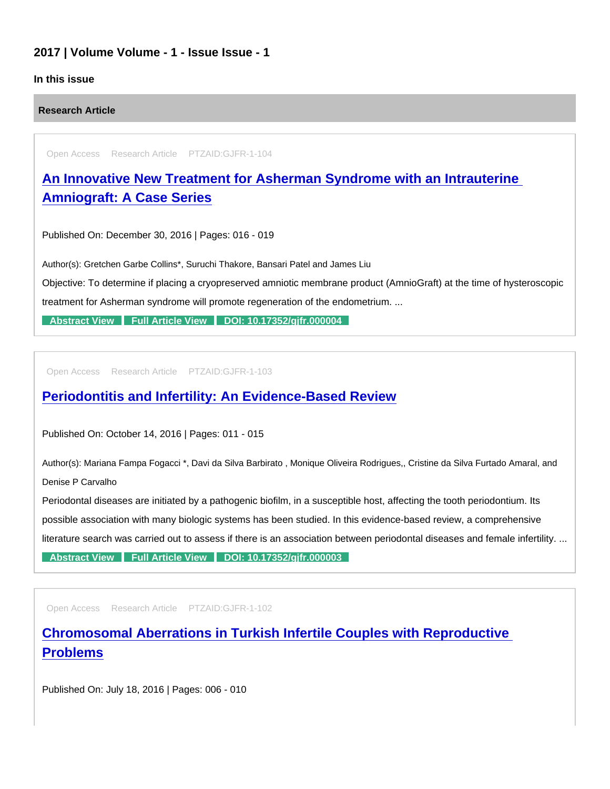## 2017 | Volume Volume - 1 - Issue Issue - 1

## In this issue

Research Article

Open Access Research Article PTZAID:GJFR-1-104

[An Innovative New Treatment for Asherman Syndrome with an Intrauterine](https://www.peertechzpublications.com/articles/an-innovative-new-treatment-for-asherman-syndrome-with-an-intrauterine-amniograft-a-case-series)  Amniograft: A Case Series

Published On: December 30, 2016 | Pages: 016 - 019

Author(s): Gretchen Garbe Collins\*, Suruchi Thakore, Bansari Patel and James Liu

Objective: To determine if placing a cryopreserved amniotic membrane product (AmnioGraft) at the time of hysteroscopic treatment for Asherman syndrome will promote regeneration of the endometrium. ...

[Abstract View](https://www.peertechzpublications.com/abstracts/an-innovative-new-treatment-for-asherman-syndrome-with-an-intrauterine-amniograft-a-case-series) [Full Article View](https://www.peertechzpublications.com/articles/an-innovative-new-treatment-for-asherman-syndrome-with-an-intrauterine-amniograft-a-case-series) DOI: 10.17352/gifr.000004

Open Access Research Article PTZAID:GJFR-1-103

## [Periodontitis and Infertility: An Evidence-Based Review](https://www.peertechzpublications.com/articles/periodontitis-and-infertility-an-evidence-based-review)

Published On: October 14, 2016 | Pages: 011 - 015

Author(s): Mariana Fampa Fogacci \*, Davi da Silva Barbirato , Monique Oliveira Rodrigues,, Cristine da Silva Furtado Amaral, and Denise P Carvalho

Periodontal diseases are initiated by a pathogenic biofilm, in a susceptible host, affecting the tooth periodontium. Its possible association with many biologic systems has been studied. In this evidence-based review, a comprehensive literature search was carried out to assess if there is an association between periodontal diseases and female infertility. ...

[Abstract View](https://www.peertechzpublications.com/abstracts/periodontitis-and-infertility-an-evidence-based-review) [Full Article View](https://www.peertechzpublications.com/articles/periodontitis-and-infertility-an-evidence-based-review) DOI: 10.17352/gifr.000003

Open Access Research Article PTZAID:GJFR-1-102

[Chromosomal Aberrations in Turkish Infertile Couples with Reproductive](https://www.peertechzpublications.com/articles/chromosomal-aberrations-in-turkish-infertile-couples-with-reproductive-problems)  Problems

Published On: July 18, 2016 | Pages: 006 - 010